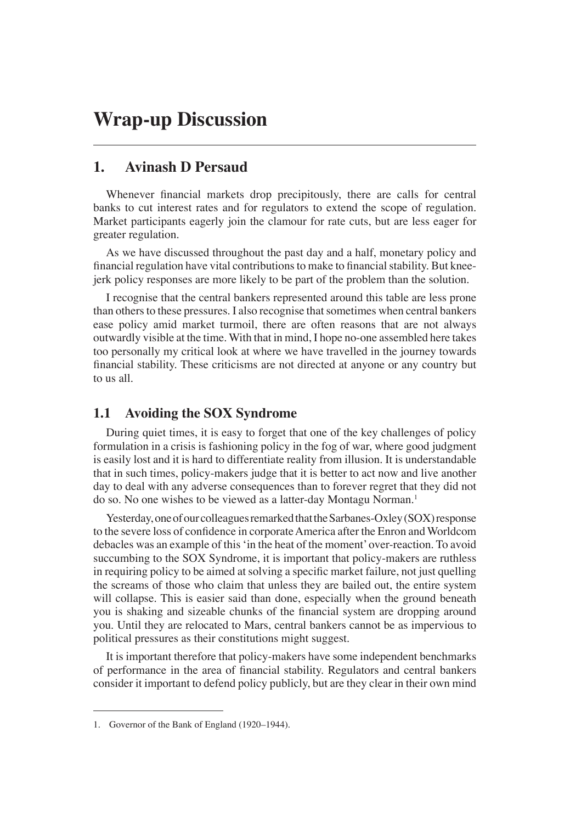# **Wrap-up Discussion**

# **1. Avinash D Persaud**

Whenever financial markets drop precipitously, there are calls for central banks to cut interest rates and for regulators to extend the scope of regulation. Market participants eagerly join the clamour for rate cuts, but are less eager for greater regulation.

As we have discussed throughout the past day and a half, monetary policy and financial regulation have vital contributions to make to financial stability. But kneejerk policy responses are more likely to be part of the problem than the solution.

I recognise that the central bankers represented around this table are less prone than others to these pressures. I also recognise that sometimes when central bankers ease policy amid market turmoil, there are often reasons that are not always outwardly visible at the time. With that in mind, I hope no-one assembled here takes too personally my critical look at where we have travelled in the journey towards financial stability. These criticisms are not directed at anyone or any country but to us all.

### **1.1 Avoiding the SOX Syndrome**

During quiet times, it is easy to forget that one of the key challenges of policy formulation in a crisis is fashioning policy in the fog of war, where good judgment is easily lost and it is hard to differentiate reality from illusion. It is understandable that in such times, policy-makers judge that it is better to act now and live another day to deal with any adverse consequences than to forever regret that they did not do so. No one wishes to be viewed as a latter-day Montagu Norman.<sup>1</sup>

Yesterday, one of our colleagues remarked that the Sarbanes-Oxley (SOX) response to the severe loss of confidence in corporate America after the Enron and Worldcom debacles was an example of this 'in the heat of the moment' over-reaction. To avoid succumbing to the SOX Syndrome, it is important that policy-makers are ruthless in requiring policy to be aimed at solving a specific market failure, not just quelling the screams of those who claim that unless they are bailed out, the entire system will collapse. This is easier said than done, especially when the ground beneath you is shaking and sizeable chunks of the financial system are dropping around you. Until they are relocated to Mars, central bankers cannot be as impervious to political pressures as their constitutions might suggest.

It is important therefore that policy-makers have some independent benchmarks of performance in the area of financial stability. Regulators and central bankers consider it important to defend policy publicly, but are they clear in their own mind

<sup>1.</sup> Governor of the Bank of England (1920–1944).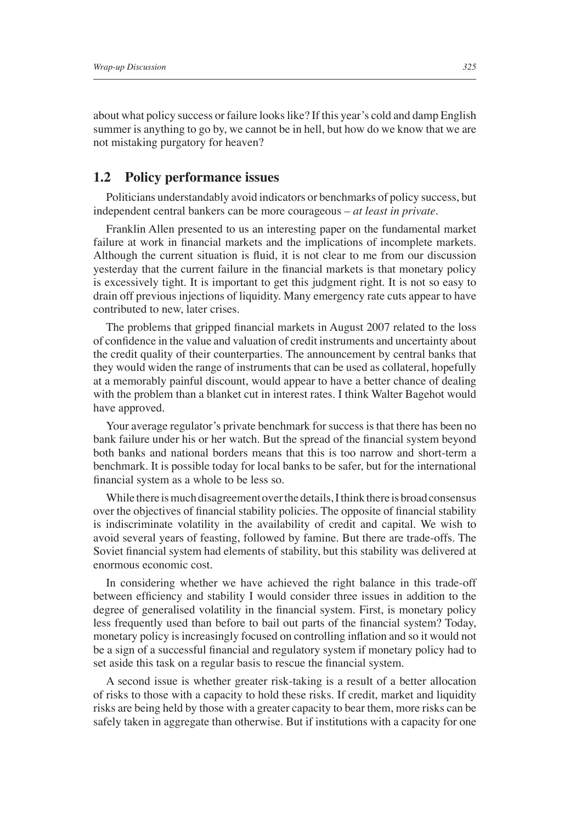about what policy success or failure looks like? If this year's cold and damp English summer is anything to go by, we cannot be in hell, but how do we know that we are not mistaking purgatory for heaven?

### **1.2 Policy performance issues**

Politicians understandably avoid indicators or benchmarks of policy success, but independent central bankers can be more courageous – *at least in private.*

Franklin Allen presented to us an interesting paper on the fundamental market failure at work in financial markets and the implications of incomplete markets. Although the current situation is fluid, it is not clear to me from our discussion yesterday that the current failure in the financial markets is that monetary policy is excessively tight. It is important to get this judgment right. It is not so easy to drain off previous injections of liquidity. Many emergency rate cuts appear to have contributed to new, later crises.

The problems that gripped financial markets in August 2007 related to the loss of confidence in the value and valuation of credit instruments and uncertainty about the credit quality of their counterparties. The announcement by central banks that they would widen the range of instruments that can be used as collateral, hopefully at a memorably painful discount, would appear to have a better chance of dealing with the problem than a blanket cut in interest rates. I think Walter Bagehot would have approved.

Your average regulator's private benchmark for success is that there has been no bank failure under his or her watch. But the spread of the financial system beyond both banks and national borders means that this is too narrow and short-term a benchmark. It is possible today for local banks to be safer, but for the international financial system as a whole to be less so.

While there is much disagreement over the details, I think there is broad consensus over the objectives of financial stability policies. The opposite of financial stability is indiscriminate volatility in the availability of credit and capital. We wish to avoid several years of feasting, followed by famine. But there are trade-offs. The Soviet financial system had elements of stability, but this stability was delivered at enormous economic cost.

In considering whether we have achieved the right balance in this trade-off between efficiency and stability I would consider three issues in addition to the degree of generalised volatility in the financial system. First, is monetary policy less frequently used than before to bail out parts of the financial system? Today, monetary policy is increasingly focused on controlling inflation and so it would not be a sign of a successful financial and regulatory system if monetary policy had to set aside this task on a regular basis to rescue the financial system.

A second issue is whether greater risk-taking is a result of a better allocation of risks to those with a capacity to hold these risks. If credit, market and liquidity risks are being held by those with a greater capacity to bear them, more risks can be safely taken in aggregate than otherwise. But if institutions with a capacity for one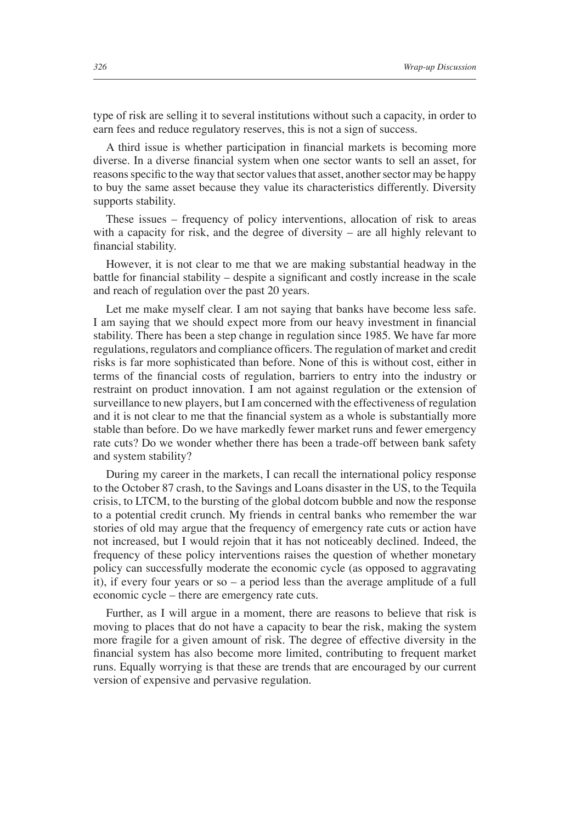type of risk are selling it to several institutions without such a capacity, in order to earn fees and reduce regulatory reserves, this is not a sign of success.

A third issue is whether participation in financial markets is becoming more diverse. In a diverse financial system when one sector wants to sell an asset, for reasons specific to the way that sector values that asset, another sector may be happy to buy the same asset because they value its characteristics differently. Diversity supports stability.

These issues – frequency of policy interventions, allocation of risk to areas with a capacity for risk, and the degree of diversity – are all highly relevant to financial stability.

However, it is not clear to me that we are making substantial headway in the battle for financial stability – despite a significant and costly increase in the scale and reach of regulation over the past 20 years.

Let me make myself clear. I am not saying that banks have become less safe. I am saying that we should expect more from our heavy investment in financial stability. There has been a step change in regulation since 1985. We have far more regulations, regulators and compliance officers. The regulation of market and credit risks is far more sophisticated than before. None of this is without cost, either in terms of the financial costs of regulation, barriers to entry into the industry or restraint on product innovation. I am not against regulation or the extension of surveillance to new players, but I am concerned with the effectiveness of regulation and it is not clear to me that the financial system as a whole is substantially more stable than before. Do we have markedly fewer market runs and fewer emergency rate cuts? Do we wonder whether there has been a trade-off between bank safety and system stability?

During my career in the markets, I can recall the international policy response to the October 87 crash, to the Savings and Loans disaster in the US, to the Tequila crisis, to LTCM, to the bursting of the global dotcom bubble and now the response to a potential credit crunch. My friends in central banks who remember the war stories of old may argue that the frequency of emergency rate cuts or action have not increased, but I would rejoin that it has not noticeably declined. Indeed, the frequency of these policy interventions raises the question of whether monetary policy can successfully moderate the economic cycle (as opposed to aggravating it), if every four years or so – a period less than the average amplitude of a full economic cycle – there are emergency rate cuts.

Further, as I will argue in a moment, there are reasons to believe that risk is moving to places that do not have a capacity to bear the risk, making the system more fragile for a given amount of risk. The degree of effective diversity in the financial system has also become more limited, contributing to frequent market runs. Equally worrying is that these are trends that are encouraged by our current version of expensive and pervasive regulation.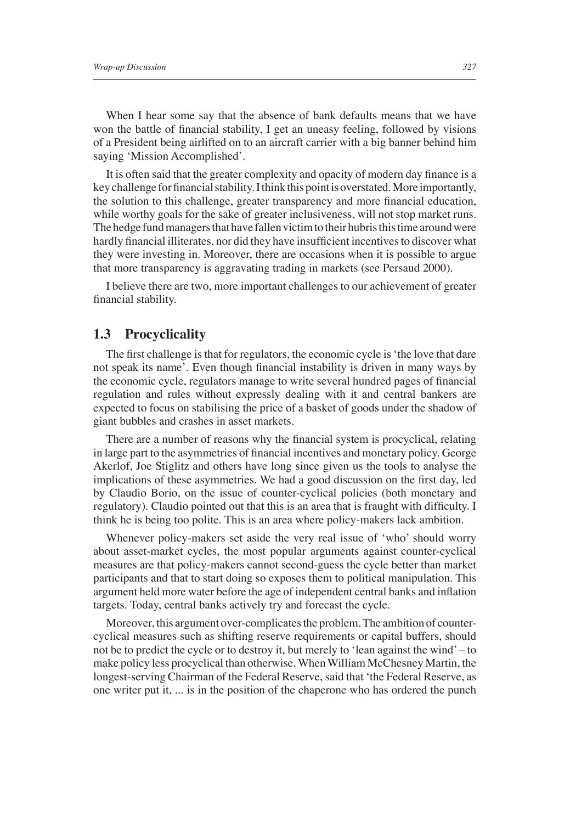When I hear some say that the absence of bank defaults means that we have won the battle of financial stability, I get an uneasy feeling, followed by visions of a President being airlifted on to an aircraft carrier with a big banner behind him saying 'Mission Accomplished'.

It is often said that the greater complexity and opacity of modern day finance is a key challenge for financial stability. I think this point is overstated. More importantly, the solution to this challenge, greater transparency and more financial education, while worthy goals for the sake of greater inclusiveness, will not stop market runs. The hedge fund managers that have fallen victim to their hubris this time around were hardly financial illiterates, nor did they have insufficient incentives to discover what they were investing in. Moreover, there are occasions when it is possible to argue that more transparency is aggravating trading in markets (see Persaud 2000).

I believe there are two, more important challenges to our achievement of greater financial stability.

### **1.3 Procyclicality**

The first challenge is that for regulators, the economic cycle is 'the love that dare not speak its name'. Even though financial instability is driven in many ways by the economic cycle, regulators manage to write several hundred pages of financial regulation and rules without expressly dealing with it and central bankers are expected to focus on stabilising the price of a basket of goods under the shadow of giant bubbles and crashes in asset markets.

There are a number of reasons why the financial system is procyclical, relating in large part to the asymmetries of financial incentives and monetary policy. George Akerlof, Joe Stiglitz and others have long since given us the tools to analyse the implications of these asymmetries. We had a good discussion on the first day, led by Claudio Borio, on the issue of counter-cyclical policies (both monetary and regulatory). Claudio pointed out that this is an area that is fraught with difficulty. I think he is being too polite. This is an area where policy-makers lack ambition.

Whenever policy-makers set aside the very real issue of 'who' should worry about asset-market cycles, the most popular arguments against counter-cyclical measures are that policy-makers cannot second-guess the cycle better than market participants and that to start doing so exposes them to political manipulation. This argument held more water before the age of independent central banks and inflation targets. Today, central banks actively try and forecast the cycle.

Moreover, this argument over-complicates the problem. The ambition of countercyclical measures such as shifting reserve requirements or capital buffers, should not be to predict the cycle or to destroy it, but merely to 'lean against the wind' – to make policy less procyclical than otherwise. When William McChesney Martin, the longest-serving Chairman of the Federal Reserve, said that 'the Federal Reserve, as one writer put it, ... is in the position of the chaperone who has ordered the punch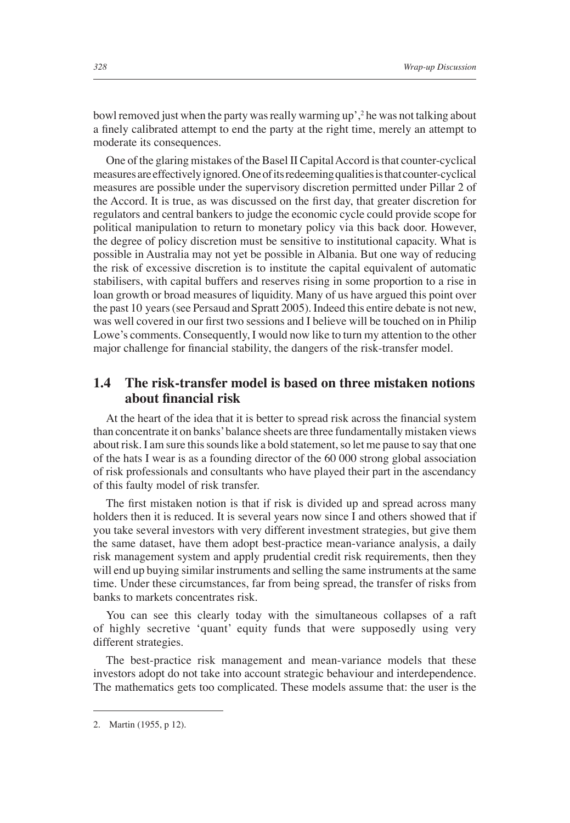bowl removed just when the party was really warming up',<sup>2</sup> he was not talking about a finely calibrated attempt to end the party at the right time, merely an attempt to moderate its consequences.

One of the glaring mistakes of the Basel II Capital Accord is that counter-cyclical measures are effectively ignored. One of its redeeming qualities is that counter-cyclical measures are possible under the supervisory discretion permitted under Pillar 2 of the Accord. It is true, as was discussed on the first day, that greater discretion for regulators and central bankers to judge the economic cycle could provide scope for political manipulation to return to monetary policy via this back door. However, the degree of policy discretion must be sensitive to institutional capacity. What is possible in Australia may not yet be possible in Albania. But one way of reducing the risk of excessive discretion is to institute the capital equivalent of automatic stabilisers, with capital buffers and reserves rising in some proportion to a rise in loan growth or broad measures of liquidity. Many of us have argued this point over the past 10 years (see Persaud and Spratt 2005). Indeed this entire debate is not new, was well covered in our first two sessions and I believe will be touched on in Philip Lowe's comments. Consequently, I would now like to turn my attention to the other major challenge for financial stability, the dangers of the risk-transfer model.

# **1.4 The risk-transfer model is based on three mistaken notions about fi nancial risk**

At the heart of the idea that it is better to spread risk across the financial system than concentrate it on banks' balance sheets are three fundamentally mistaken views about risk. I am sure this sounds like a bold statement, so let me pause to say that one of the hats I wear is as a founding director of the 60 000 strong global association of risk professionals and consultants who have played their part in the ascendancy of this faulty model of risk transfer.

The first mistaken notion is that if risk is divided up and spread across many holders then it is reduced. It is several years now since I and others showed that if you take several investors with very different investment strategies, but give them the same dataset, have them adopt best-practice mean-variance analysis, a daily risk management system and apply prudential credit risk requirements, then they will end up buying similar instruments and selling the same instruments at the same time. Under these circumstances, far from being spread, the transfer of risks from banks to markets concentrates risk.

You can see this clearly today with the simultaneous collapses of a raft of highly secretive 'quant' equity funds that were supposedly using very different strategies.

The best-practice risk management and mean-variance models that these investors adopt do not take into account strategic behaviour and interdependence. The mathematics gets too complicated. These models assume that: the user is the

<sup>2.</sup> Martin (1955, p 12).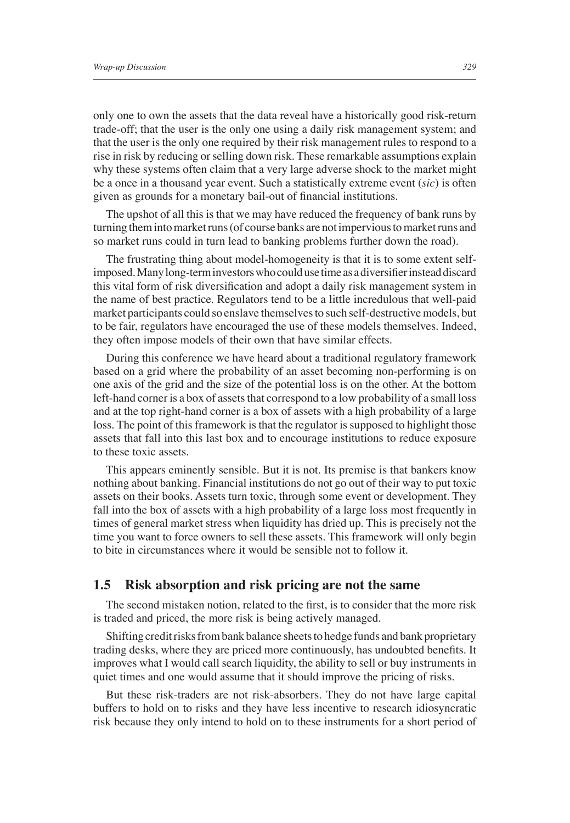only one to own the assets that the data reveal have a historically good risk-return trade-off; that the user is the only one using a daily risk management system; and that the user is the only one required by their risk management rules to respond to a rise in risk by reducing or selling down risk. These remarkable assumptions explain why these systems often claim that a very large adverse shock to the market might be a once in a thousand year event. Such a statistically extreme event (*sic*) is often given as grounds for a monetary bail-out of financial institutions.

The upshot of all this is that we may have reduced the frequency of bank runs by turning them into market runs (of course banks are not impervious to market runs and so market runs could in turn lead to banking problems further down the road).

The frustrating thing about model-homogeneity is that it is to some extent selfimposed. Many long-term investors who could use time as a diversifier instead discard this vital form of risk diversification and adopt a daily risk management system in the name of best practice. Regulators tend to be a little incredulous that well-paid market participants could so enslave themselves to such self-destructive models, but to be fair, regulators have encouraged the use of these models themselves. Indeed, they often impose models of their own that have similar effects.

During this conference we have heard about a traditional regulatory framework based on a grid where the probability of an asset becoming non-performing is on one axis of the grid and the size of the potential loss is on the other. At the bottom left-hand corner is a box of assets that correspond to a low probability of a small loss and at the top right-hand corner is a box of assets with a high probability of a large loss. The point of this framework is that the regulator is supposed to highlight those assets that fall into this last box and to encourage institutions to reduce exposure to these toxic assets.

This appears eminently sensible. But it is not. Its premise is that bankers know nothing about banking. Financial institutions do not go out of their way to put toxic assets on their books. Assets turn toxic, through some event or development. They fall into the box of assets with a high probability of a large loss most frequently in times of general market stress when liquidity has dried up. This is precisely not the time you want to force owners to sell these assets. This framework will only begin to bite in circumstances where it would be sensible not to follow it.

### **1.5 Risk absorption and risk pricing are not the same**

The second mistaken notion, related to the first, is to consider that the more risk is traded and priced, the more risk is being actively managed.

Shifting credit risks from bank balance sheets to hedge funds and bank proprietary trading desks, where they are priced more continuously, has undoubted benefits. It improves what I would call search liquidity, the ability to sell or buy instruments in quiet times and one would assume that it should improve the pricing of risks.

But these risk-traders are not risk-absorbers. They do not have large capital buffers to hold on to risks and they have less incentive to research idiosyncratic risk because they only intend to hold on to these instruments for a short period of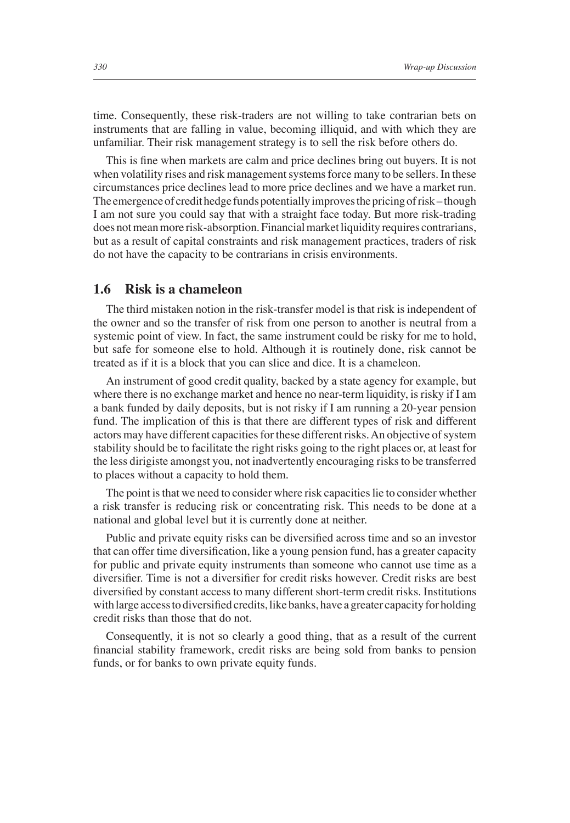time. Consequently, these risk-traders are not willing to take contrarian bets on instruments that are falling in value, becoming illiquid, and with which they are unfamiliar. Their risk management strategy is to sell the risk before others do.

This is fine when markets are calm and price declines bring out buyers. It is not when volatility rises and risk management systems force many to be sellers. In these circumstances price declines lead to more price declines and we have a market run. The emergence of credit hedge funds potentially improves the pricing of risk – though I am not sure you could say that with a straight face today. But more risk-trading does not mean more risk-absorption. Financial market liquidity requires contrarians, but as a result of capital constraints and risk management practices, traders of risk do not have the capacity to be contrarians in crisis environments.

### **1.6 Risk is a chameleon**

The third mistaken notion in the risk-transfer model is that risk is independent of the owner and so the transfer of risk from one person to another is neutral from a systemic point of view. In fact, the same instrument could be risky for me to hold, but safe for someone else to hold. Although it is routinely done, risk cannot be treated as if it is a block that you can slice and dice. It is a chameleon.

An instrument of good credit quality, backed by a state agency for example, but where there is no exchange market and hence no near-term liquidity, is risky if I am a bank funded by daily deposits, but is not risky if I am running a 20-year pension fund. The implication of this is that there are different types of risk and different actors may have different capacities for these different risks. An objective of system stability should be to facilitate the right risks going to the right places or, at least for the less dirigiste amongst you, not inadvertently encouraging risks to be transferred to places without a capacity to hold them.

The point is that we need to consider where risk capacities lie to consider whether a risk transfer is reducing risk or concentrating risk. This needs to be done at a national and global level but it is currently done at neither.

Public and private equity risks can be diversified across time and so an investor that can offer time diversification, like a young pension fund, has a greater capacity for public and private equity instruments than someone who cannot use time as a diversifier. Time is not a diversifier for credit risks however. Credit risks are best diversified by constant access to many different short-term credit risks. Institutions with large access to diversified credits, like banks, have a greater capacity for holding credit risks than those that do not.

Consequently, it is not so clearly a good thing, that as a result of the current financial stability framework, credit risks are being sold from banks to pension funds, or for banks to own private equity funds.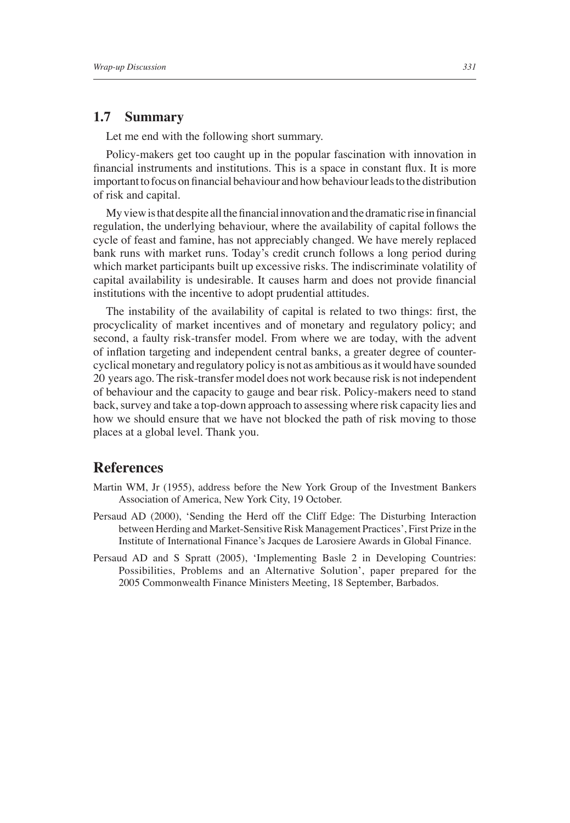### **1.7 Summary**

Let me end with the following short summary.

Policy-makers get too caught up in the popular fascination with innovation in financial instruments and institutions. This is a space in constant flux. It is more important to focus on financial behaviour and how behaviour leads to the distribution of risk and capital.

My view is that despite all the financial innovation and the dramatic rise in financial regulation, the underlying behaviour, where the availability of capital follows the cycle of feast and famine, has not appreciably changed. We have merely replaced bank runs with market runs. Today's credit crunch follows a long period during which market participants built up excessive risks. The indiscriminate volatility of capital availability is undesirable. It causes harm and does not provide financial institutions with the incentive to adopt prudential attitudes.

The instability of the availability of capital is related to two things: first, the procyclicality of market incentives and of monetary and regulatory policy; and second, a faulty risk-transfer model. From where we are today, with the advent of infl ation targeting and independent central banks, a greater degree of countercyclical monetary and regulatory policy is not as ambitious as it would have sounded 20 years ago. The risk-transfer model does not work because risk is not independent of behaviour and the capacity to gauge and bear risk. Policy-makers need to stand back, survey and take a top-down approach to assessing where risk capacity lies and how we should ensure that we have not blocked the path of risk moving to those places at a global level. Thank you.

# **References**

- Martin WM, Jr (1955), address before the New York Group of the Investment Bankers Association of America, New York City, 19 October.
- Persaud AD (2000), 'Sending the Herd off the Cliff Edge: The Disturbing Interaction between Herding and Market-Sensitive Risk Management Practices', First Prize in the Institute of International Finance's Jacques de Larosiere Awards in Global Finance.
- Persaud AD and S Spratt (2005), 'Implementing Basle 2 in Developing Countries: Possibilities, Problems and an Alternative Solution', paper prepared for the 2005 Commonwealth Finance Ministers Meeting, 18 September, Barbados.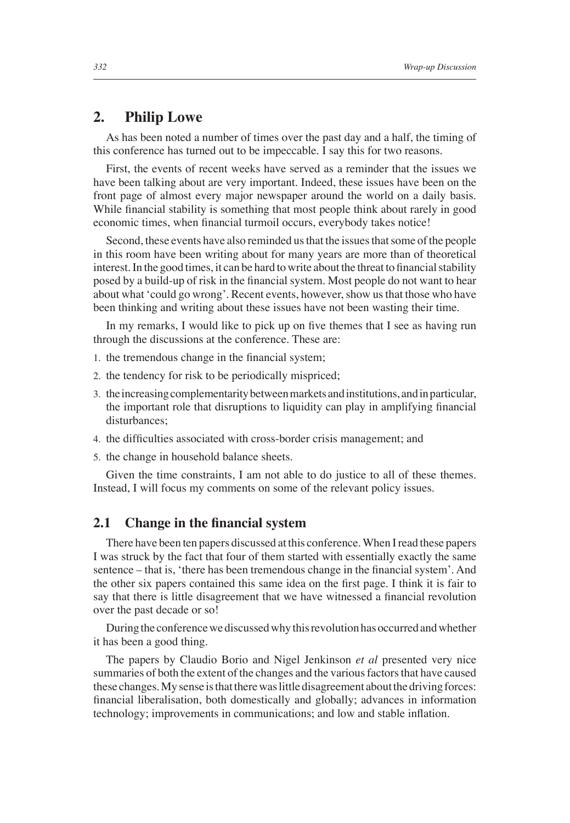# **2. Philip Lowe**

As has been noted a number of times over the past day and a half, the timing of this conference has turned out to be impeccable. I say this for two reasons.

First, the events of recent weeks have served as a reminder that the issues we have been talking about are very important. Indeed, these issues have been on the front page of almost every major newspaper around the world on a daily basis. While financial stability is something that most people think about rarely in good economic times, when financial turmoil occurs, everybody takes notice!

Second, these events have also reminded us that the issues that some of the people in this room have been writing about for many years are more than of theoretical interest. In the good times, it can be hard to write about the threat to financial stability posed by a build-up of risk in the financial system. Most people do not want to hear about what 'could go wrong'. Recent events, however, show us that those who have been thinking and writing about these issues have not been wasting their time.

In my remarks, I would like to pick up on five themes that I see as having run through the discussions at the conference. These are:

- 1. the tremendous change in the financial system;
- 2. the tendency for risk to be periodically mispriced;
- 3. the increasing complementarity between markets and institutions, and in particular, the important role that disruptions to liquidity can play in amplifying financial disturbances;
- 4. the difficulties associated with cross-border crisis management; and
- 5. the change in household balance sheets.

Given the time constraints, I am not able to do justice to all of these themes. Instead, I will focus my comments on some of the relevant policy issues.

### **2.1** Change in the financial system

There have been ten papers discussed at this conference. When I read these papers I was struck by the fact that four of them started with essentially exactly the same sentence – that is, 'there has been tremendous change in the financial system'. And the other six papers contained this same idea on the first page. I think it is fair to say that there is little disagreement that we have witnessed a financial revolution over the past decade or so!

During the conference we discussed why this revolution has occurred and whether it has been a good thing.

The papers by Claudio Borio and Nigel Jenkinson *et al* presented very nice summaries of both the extent of the changes and the various factors that have caused these changes. My sense is that there was little disagreement about the driving forces: financial liberalisation, both domestically and globally; advances in information technology; improvements in communications; and low and stable inflation.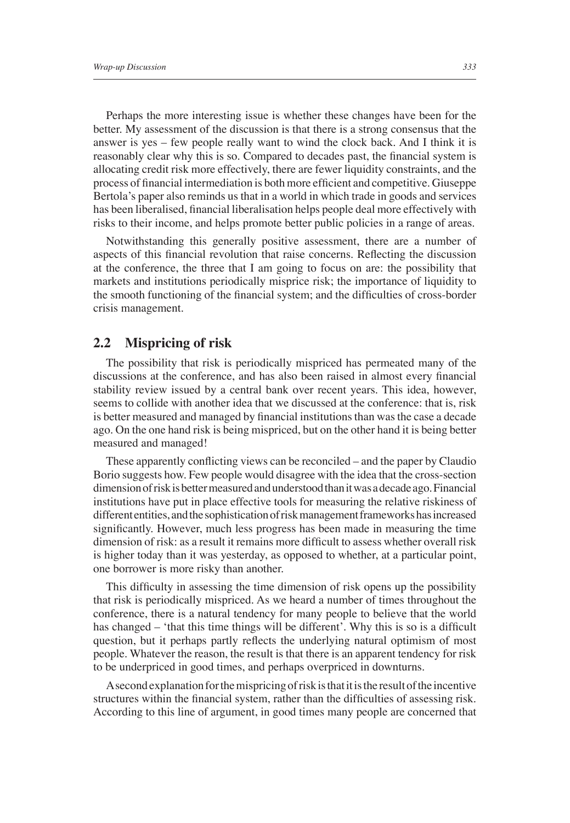Perhaps the more interesting issue is whether these changes have been for the better. My assessment of the discussion is that there is a strong consensus that the answer is yes – few people really want to wind the clock back. And I think it is reasonably clear why this is so. Compared to decades past, the financial system is allocating credit risk more effectively, there are fewer liquidity constraints, and the process of financial intermediation is both more efficient and competitive. Giuseppe Bertola's paper also reminds us that in a world in which trade in goods and services has been liberalised, financial liberalisation helps people deal more effectively with risks to their income, and helps promote better public policies in a range of areas.

Notwithstanding this generally positive assessment, there are a number of aspects of this financial revolution that raise concerns. Reflecting the discussion at the conference, the three that I am going to focus on are: the possibility that markets and institutions periodically misprice risk; the importance of liquidity to the smooth functioning of the financial system; and the difficulties of cross-border crisis management.

#### **2.2 Mispricing of risk**

The possibility that risk is periodically mispriced has permeated many of the discussions at the conference, and has also been raised in almost every financial stability review issued by a central bank over recent years. This idea, however, seems to collide with another idea that we discussed at the conference: that is, risk is better measured and managed by financial institutions than was the case a decade ago. On the one hand risk is being mispriced, but on the other hand it is being better measured and managed!

These apparently conflicting views can be reconciled – and the paper by Claudio Borio suggests how. Few people would disagree with the idea that the cross-section dimension of risk is better measured and understood than it was a decade ago. Financial institutions have put in place effective tools for measuring the relative riskiness of different entities, and the sophistication of risk management frameworks has increased significantly. However, much less progress has been made in measuring the time dimension of risk: as a result it remains more difficult to assess whether overall risk is higher today than it was yesterday, as opposed to whether, at a particular point, one borrower is more risky than another.

This difficulty in assessing the time dimension of risk opens up the possibility that risk is periodically mispriced. As we heard a number of times throughout the conference, there is a natural tendency for many people to believe that the world has changed – 'that this time things will be different'. Why this is so is a difficult question, but it perhaps partly reflects the underlying natural optimism of most people. Whatever the reason, the result is that there is an apparent tendency for risk to be underpriced in good times, and perhaps overpriced in downturns.

A second explanation for the mispricing of risk is that it is the result of the incentive structures within the financial system, rather than the difficulties of assessing risk. According to this line of argument, in good times many people are concerned that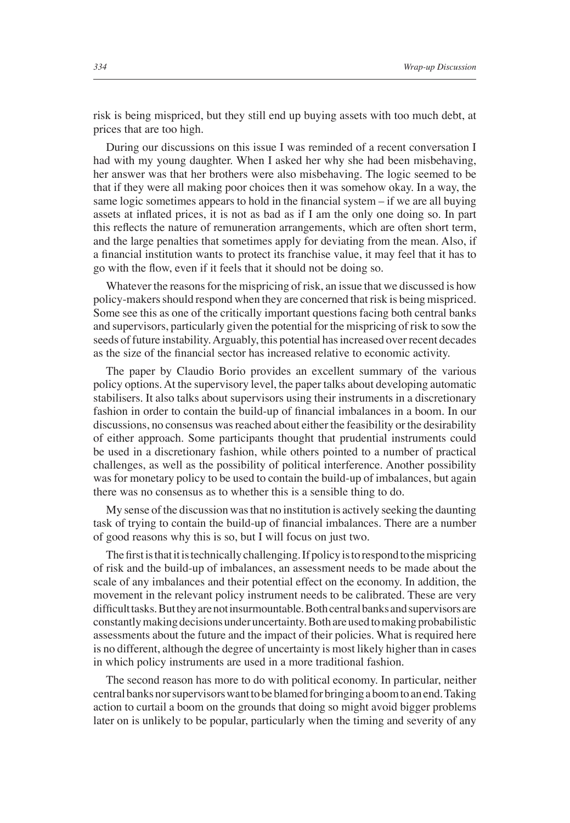risk is being mispriced, but they still end up buying assets with too much debt, at prices that are too high.

During our discussions on this issue I was reminded of a recent conversation I had with my young daughter. When I asked her why she had been misbehaving, her answer was that her brothers were also misbehaving. The logic seemed to be that if they were all making poor choices then it was somehow okay. In a way, the same logic sometimes appears to hold in the financial system  $-$  if we are all buying assets at inflated prices, it is not as bad as if I am the only one doing so. In part this reflects the nature of remuneration arrangements, which are often short term, and the large penalties that sometimes apply for deviating from the mean. Also, if a financial institution wants to protect its franchise value, it may feel that it has to go with the flow, even if it feels that it should not be doing so.

Whatever the reasons for the mispricing of risk, an issue that we discussed is how policy-makers should respond when they are concerned that risk is being mispriced. Some see this as one of the critically important questions facing both central banks and supervisors, particularly given the potential for the mispricing of risk to sow the seeds of future instability. Arguably, this potential has increased over recent decades as the size of the financial sector has increased relative to economic activity.

The paper by Claudio Borio provides an excellent summary of the various policy options. At the supervisory level, the paper talks about developing automatic stabilisers. It also talks about supervisors using their instruments in a discretionary fashion in order to contain the build-up of financial imbalances in a boom. In our discussions, no consensus was reached about either the feasibility or the desirability of either approach. Some participants thought that prudential instruments could be used in a discretionary fashion, while others pointed to a number of practical challenges, as well as the possibility of political interference. Another possibility was for monetary policy to be used to contain the build-up of imbalances, but again there was no consensus as to whether this is a sensible thing to do.

My sense of the discussion was that no institution is actively seeking the daunting task of trying to contain the build-up of financial imbalances. There are a number of good reasons why this is so, but I will focus on just two.

The first is that it is technically challenging. If policy is to respond to the mispricing of risk and the build-up of imbalances, an assessment needs to be made about the scale of any imbalances and their potential effect on the economy. In addition, the movement in the relevant policy instrument needs to be calibrated. These are very difficult tasks. But they are not insurmountable. Both central banks and supervisors are constantly making decisions under uncertainty. Both are used to making probabilistic assessments about the future and the impact of their policies. What is required here is no different, although the degree of uncertainty is most likely higher than in cases in which policy instruments are used in a more traditional fashion.

The second reason has more to do with political economy. In particular, neither central banks nor supervisors want to be blamed for bringing a boom to an end. Taking action to curtail a boom on the grounds that doing so might avoid bigger problems later on is unlikely to be popular, particularly when the timing and severity of any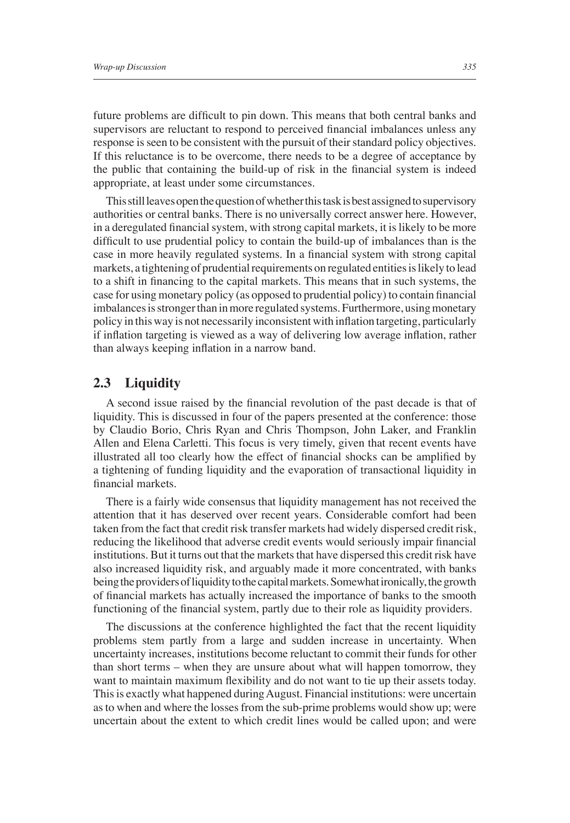future problems are difficult to pin down. This means that both central banks and supervisors are reluctant to respond to perceived financial imbalances unless any response is seen to be consistent with the pursuit of their standard policy objectives. If this reluctance is to be overcome, there needs to be a degree of acceptance by the public that containing the build-up of risk in the financial system is indeed appropriate, at least under some circumstances.

This still leaves open the question of whether this task is best assigned to supervisory authorities or central banks. There is no universally correct answer here. However, in a deregulated financial system, with strong capital markets, it is likely to be more difficult to use prudential policy to contain the build-up of imbalances than is the case in more heavily regulated systems. In a financial system with strong capital markets, a tightening of prudential requirements on regulated entities is likely to lead to a shift in financing to the capital markets. This means that in such systems, the case for using monetary policy (as opposed to prudential policy) to contain financial imbalances is stronger than in more regulated systems. Furthermore, using monetary policy in this way is not necessarily inconsistent with inflation targeting, particularly if inflation targeting is viewed as a way of delivering low average inflation, rather than always keeping inflation in a narrow band.

### **2.3 Liquidity**

A second issue raised by the financial revolution of the past decade is that of liquidity. This is discussed in four of the papers presented at the conference: those by Claudio Borio, Chris Ryan and Chris Thompson, John Laker, and Franklin Allen and Elena Carletti. This focus is very timely, given that recent events have illustrated all too clearly how the effect of financial shocks can be amplified by a tightening of funding liquidity and the evaporation of transactional liquidity in financial markets.

There is a fairly wide consensus that liquidity management has not received the attention that it has deserved over recent years. Considerable comfort had been taken from the fact that credit risk transfer markets had widely dispersed credit risk, reducing the likelihood that adverse credit events would seriously impair financial institutions. But it turns out that the markets that have dispersed this credit risk have also increased liquidity risk, and arguably made it more concentrated, with banks being the providers of liquidity to the capital markets. Somewhat ironically, the growth of financial markets has actually increased the importance of banks to the smooth functioning of the financial system, partly due to their role as liquidity providers.

The discussions at the conference highlighted the fact that the recent liquidity problems stem partly from a large and sudden increase in uncertainty. When uncertainty increases, institutions become reluctant to commit their funds for other than short terms – when they are unsure about what will happen tomorrow, they want to maintain maximum flexibility and do not want to tie up their assets today. This is exactly what happened during August. Financial institutions: were uncertain as to when and where the losses from the sub-prime problems would show up; were uncertain about the extent to which credit lines would be called upon; and were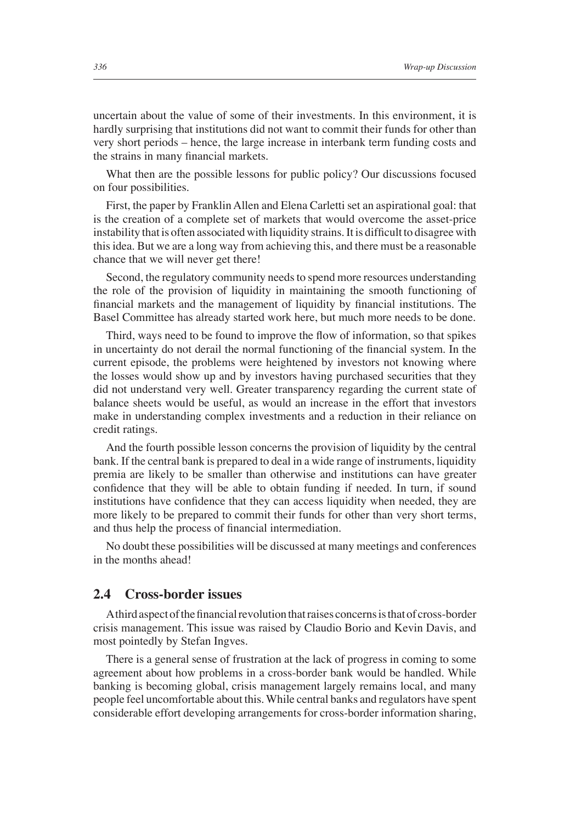uncertain about the value of some of their investments. In this environment, it is hardly surprising that institutions did not want to commit their funds for other than very short periods – hence, the large increase in interbank term funding costs and the strains in many financial markets.

What then are the possible lessons for public policy? Our discussions focused on four possibilities.

First, the paper by Franklin Allen and Elena Carletti set an aspirational goal: that is the creation of a complete set of markets that would overcome the asset-price instability that is often associated with liquidity strains. It is difficult to disagree with this idea. But we are a long way from achieving this, and there must be a reasonable chance that we will never get there!

Second, the regulatory community needs to spend more resources understanding the role of the provision of liquidity in maintaining the smooth functioning of financial markets and the management of liquidity by financial institutions. The Basel Committee has already started work here, but much more needs to be done.

Third, ways need to be found to improve the flow of information, so that spikes in uncertainty do not derail the normal functioning of the financial system. In the current episode, the problems were heightened by investors not knowing where the losses would show up and by investors having purchased securities that they did not understand very well. Greater transparency regarding the current state of balance sheets would be useful, as would an increase in the effort that investors make in understanding complex investments and a reduction in their reliance on credit ratings.

And the fourth possible lesson concerns the provision of liquidity by the central bank. If the central bank is prepared to deal in a wide range of instruments, liquidity premia are likely to be smaller than otherwise and institutions can have greater confidence that they will be able to obtain funding if needed. In turn, if sound institutions have confidence that they can access liquidity when needed, they are more likely to be prepared to commit their funds for other than very short terms, and thus help the process of financial intermediation.

No doubt these possibilities will be discussed at many meetings and conferences in the months ahead!

### **2.4 Cross-border issues**

A third aspect of the financial revolution that raises concerns is that of cross-border crisis management. This issue was raised by Claudio Borio and Kevin Davis, and most pointedly by Stefan Ingves.

There is a general sense of frustration at the lack of progress in coming to some agreement about how problems in a cross-border bank would be handled. While banking is becoming global, crisis management largely remains local, and many people feel uncomfortable about this. While central banks and regulators have spent considerable effort developing arrangements for cross-border information sharing,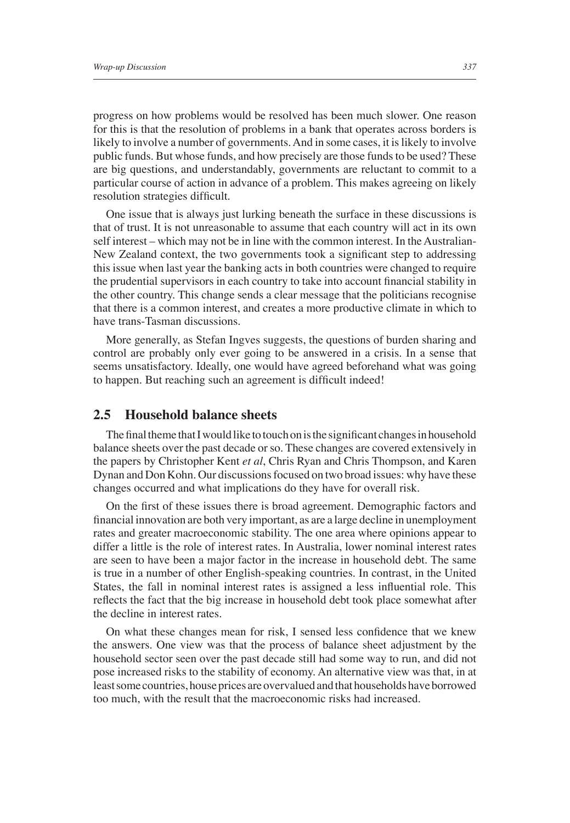public funds. But whose funds, and how precisely are those funds to be used? These are big questions, and understandably, governments are reluctant to commit to a particular course of action in advance of a problem. This makes agreeing on likely resolution strategies difficult.

One issue that is always just lurking beneath the surface in these discussions is that of trust. It is not unreasonable to assume that each country will act in its own self interest – which may not be in line with the common interest. In the Australian-New Zealand context, the two governments took a significant step to addressing this issue when last year the banking acts in both countries were changed to require the prudential supervisors in each country to take into account financial stability in the other country. This change sends a clear message that the politicians recognise that there is a common interest, and creates a more productive climate in which to have trans-Tasman discussions.

More generally, as Stefan Ingves suggests, the questions of burden sharing and control are probably only ever going to be answered in a crisis. In a sense that seems unsatisfactory. Ideally, one would have agreed beforehand what was going to happen. But reaching such an agreement is difficult indeed!

### **2.5 Household balance sheets**

The final theme that I would like to touch on is the significant changes in household balance sheets over the past decade or so. These changes are covered extensively in the papers by Christopher Kent *et al*, Chris Ryan and Chris Thompson, and Karen Dynan and Don Kohn. Our discussions focused on two broad issues: why have these changes occurred and what implications do they have for overall risk.

On the first of these issues there is broad agreement. Demographic factors and financial innovation are both very important, as are a large decline in unemployment rates and greater macroeconomic stability. The one area where opinions appear to differ a little is the role of interest rates. In Australia, lower nominal interest rates are seen to have been a major factor in the increase in household debt. The same is true in a number of other English-speaking countries. In contrast, in the United States, the fall in nominal interest rates is assigned a less influential role. This reflects the fact that the big increase in household debt took place somewhat after the decline in interest rates.

On what these changes mean for risk, I sensed less confidence that we knew the answers. One view was that the process of balance sheet adjustment by the household sector seen over the past decade still had some way to run, and did not pose increased risks to the stability of economy. An alternative view was that, in at least some countries, house prices are overvalued and that households have borrowed too much, with the result that the macroeconomic risks had increased.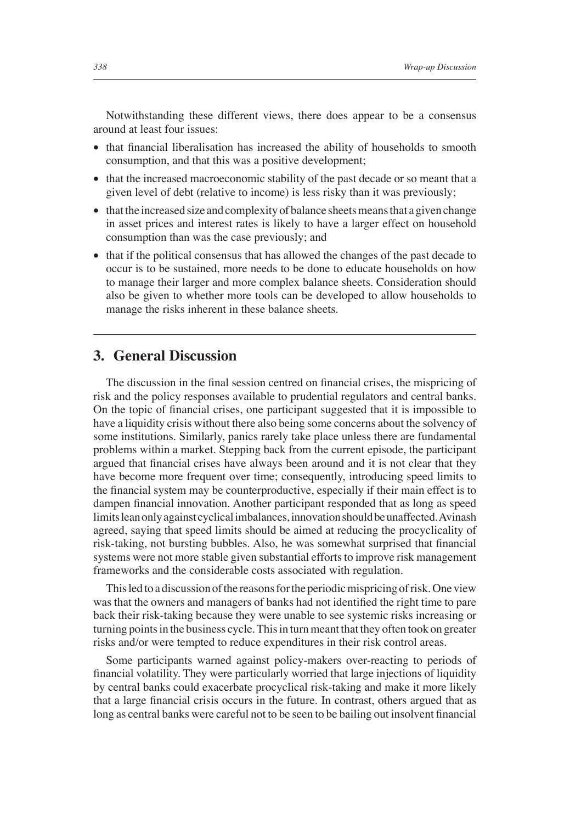Notwithstanding these different views, there does appear to be a consensus around at least four issues:

- that financial liberalisation has increased the ability of households to smooth consumption, and that this was a positive development;
- that the increased macroeconomic stability of the past decade or so meant that a given level of debt (relative to income) is less risky than it was previously;
- that the increased size and complexity of balance sheets means that a given change in asset prices and interest rates is likely to have a larger effect on household consumption than was the case previously; and
- that if the political consensus that has allowed the changes of the past decade to occur is to be sustained, more needs to be done to educate households on how to manage their larger and more complex balance sheets. Consideration should also be given to whether more tools can be developed to allow households to manage the risks inherent in these balance sheets.

# **3. General Discussion**

The discussion in the final session centred on financial crises, the mispricing of risk and the policy responses available to prudential regulators and central banks. On the topic of financial crises, one participant suggested that it is impossible to have a liquidity crisis without there also being some concerns about the solvency of some institutions. Similarly, panics rarely take place unless there are fundamental problems within a market. Stepping back from the current episode, the participant argued that financial crises have always been around and it is not clear that they have become more frequent over time; consequently, introducing speed limits to the financial system may be counterproductive, especially if their main effect is to dampen financial innovation. Another participant responded that as long as speed limits lean only against cyclical imbalances, innovation should be unaffected. Avinash agreed, saying that speed limits should be aimed at reducing the procyclicality of risk-taking, not bursting bubbles. Also, he was somewhat surprised that financial systems were not more stable given substantial efforts to improve risk management frameworks and the considerable costs associated with regulation.

This led to a discussion of the reasons for the periodic mispricing of risk. One view was that the owners and managers of banks had not identified the right time to pare back their risk-taking because they were unable to see systemic risks increasing or turning points in the business cycle. This in turn meant that they often took on greater risks and/or were tempted to reduce expenditures in their risk control areas.

Some participants warned against policy-makers over-reacting to periods of financial volatility. They were particularly worried that large injections of liquidity by central banks could exacerbate procyclical risk-taking and make it more likely that a large financial crisis occurs in the future. In contrast, others argued that as long as central banks were careful not to be seen to be bailing out insolvent financial